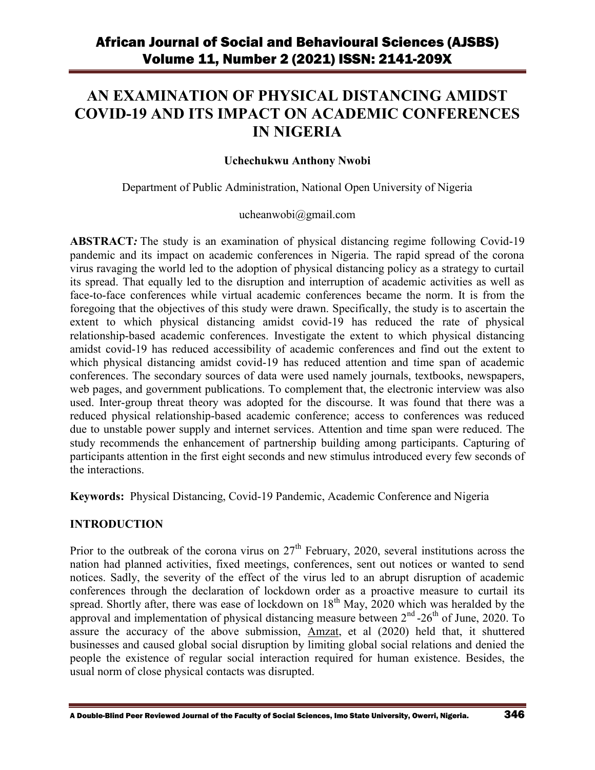# **AN EXAMINATION OF PHYSICAL DISTANCING AMIDST COVID-19 AND ITS IMPACT ON ACADEMIC CONFERENCES IN NIGERIA**

### **Uchechukwu Anthony Nwobi**

Department of Public Administration, National Open University of Nigeria

#### ucheanwobi@gmail.com

**ABSTRACT***:* The study is an examination of physical distancing regime following Covid-19 pandemic and its impact on academic conferences in Nigeria. The rapid spread of the corona virus ravaging the world led to the adoption of physical distancing policy as a strategy to curtail its spread. That equally led to the disruption and interruption of academic activities as well as face-to-face conferences while virtual academic conferences became the norm. It is from the foregoing that the objectives of this study were drawn. Specifically, the study is to ascertain the extent to which physical distancing amidst covid-19 has reduced the rate of physical relationship-based academic conferences. Investigate the extent to which physical distancing amidst covid-19 has reduced accessibility of academic conferences and find out the extent to which physical distancing amidst covid-19 has reduced attention and time span of academic conferences. The secondary sources of data were used namely journals, textbooks, newspapers, web pages, and government publications. To complement that, the electronic interview was also used. Inter-group threat theory was adopted for the discourse. It was found that there was a reduced physical relationship-based academic conference; access to conferences was reduced due to unstable power supply and internet services. Attention and time span were reduced. The study recommends the enhancement of partnership building among participants. Capturing of participants attention in the first eight seconds and new stimulus introduced every few seconds of the interactions.

**Keywords:** Physical Distancing, Covid-19 Pandemic, Academic Conference and Nigeria

### **INTRODUCTION**

Prior to the outbreak of the corona virus on  $27<sup>th</sup>$  February, 2020, several institutions across the nation had planned activities, fixed meetings, conferences, sent out notices or wanted to send notices. Sadly, the severity of the effect of the virus led to an abrupt disruption of academic conferences through the declaration of lockdown order as a proactive measure to curtail its spread. Shortly after, there was ease of lockdown on  $18<sup>th</sup>$  May, 2020 which was heralded by the approval and implementation of physical distancing measure between  $2<sup>nd</sup>$  -26<sup>th</sup> of June, 2020. To assure the accuracy of the above submission, [Amzat,](https://www.ncbi.nlm.nih.gov/pubmed/?term=Amzat%20J%5BAuthor%5D&cauthor=true&cauthor_uid=32585282) et al (2020) held that, it shuttered businesses and caused global social disruption by limiting global social relations and denied the people the existence of regular social interaction required for human existence. Besides, the usual norm of close physical contacts was disrupted.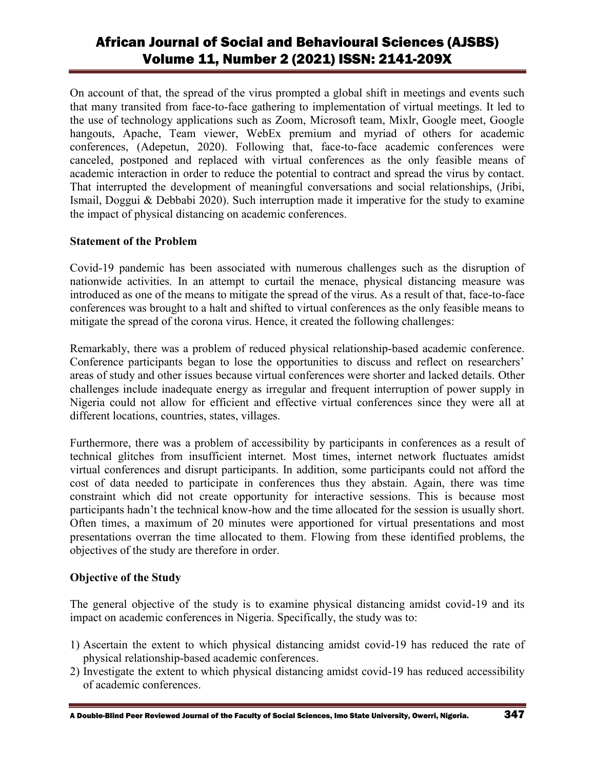On account of that, the spread of the virus prompted a global shift in meetings and events such that many transited from face-to-face gathering to implementation of virtual meetings. It led to the use of technology applications such as Zoom, Microsoft team, Mixlr, Google meet, Google hangouts, Apache, Team viewer, WebEx premium and myriad of others for academic conferences, (Adepetun, 2020). Following that, face-to-face academic conferences were canceled, postponed and replaced with virtual conferences as the only feasible means of academic interaction in order to reduce the potential to contract and spread the virus by contact. That interrupted the development of meaningful conversations and social relationships, (Jribi, Ismail, Doggui & Debbabi 2020). Such interruption made it imperative for the study to examine the impact of physical distancing on academic conferences.

### **Statement of the Problem**

Covid-19 pandemic has been associated with numerous challenges such as the disruption of nationwide activities. In an attempt to curtail the menace, physical distancing measure was introduced as one of the means to mitigate the spread of the virus. As a result of that, face-to-face conferences was brought to a halt and shifted to virtual conferences as the only feasible means to mitigate the spread of the corona virus. Hence, it created the following challenges:

Remarkably, there was a problem of reduced physical relationship-based academic conference. Conference participants began to lose the opportunities to discuss and reflect on researchers' areas of study and other issues because virtual conferences were shorter and lacked details. Other challenges include inadequate energy as irregular and frequent interruption of power supply in Nigeria could not allow for efficient and effective virtual conferences since they were all at different locations, countries, states, villages.

Furthermore, there was a problem of accessibility by participants in conferences as a result of technical glitches from insufficient internet. Most times, internet network fluctuates amidst virtual conferences and disrupt participants. In addition, some participants could not afford the cost of data needed to participate in conferences thus they abstain. Again, there was time constraint which did not create opportunity for interactive sessions. This is because most participants hadn't the technical know-how and the time allocated for the session is usually short. Often times, a maximum of 20 minutes were apportioned for virtual presentations and most presentations overran the time allocated to them. Flowing from these identified problems, the objectives of the study are therefore in order.

### **Objective of the Study**

The general objective of the study is to examine physical distancing amidst covid-19 and its impact on academic conferences in Nigeria. Specifically, the study was to:

- 1) Ascertain the extent to which physical distancing amidst covid-19 has reduced the rate of physical relationship-based academic conferences.
- 2) Investigate the extent to which physical distancing amidst covid-19 has reduced accessibility of academic conferences.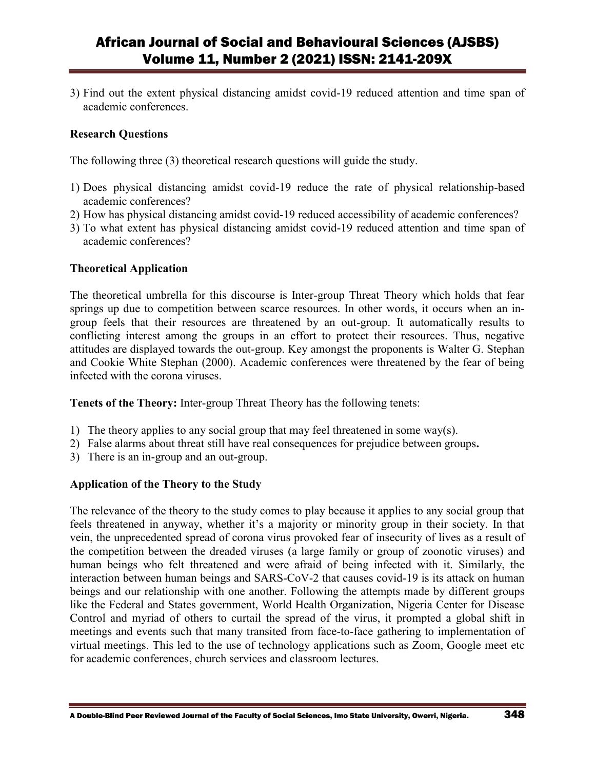3) Find out the extent physical distancing amidst covid-19 reduced attention and time span of academic conferences.

#### **Research Questions**

The following three (3) theoretical research questions will guide the study.

- 1) Does physical distancing amidst covid-19 reduce the rate of physical relationship-based academic conferences?
- 2) How has physical distancing amidst covid-19 reduced accessibility of academic conferences?
- 3) To what extent has physical distancing amidst covid-19 reduced attention and time span of academic conferences?

#### **Theoretical Application**

The theoretical umbrella for this discourse is Inter-group Threat Theory which holds that fear springs up due to competition between scarce resources. In other words, it occurs when an ingroup feels that their resources are threatened by an out-group. It automatically results to conflicting interest among the groups in an effort to protect their resources. Thus, negative attitudes are displayed towards the out-group. Key amongst the proponents is Walter G. Stephan and Cookie White Stephan (2000). Academic conferences were threatened by the fear of being infected with the corona viruses.

**Tenets of the Theory:** Inter-group Threat Theory has the following tenets:

- 1) The theory applies to any social group that may feel threatened in some way(s).
- 2) False alarms about threat still have real consequences for prejudice between groups**.**
- 3) There is an in-group and an out-group.

### **Application of the Theory to the Study**

The relevance of the theory to the study comes to play because it applies to any social group that feels threatened in anyway, whether it's a majority or minority group in their society. In that vein, the unprecedented spread of corona virus provoked fear of insecurity of lives as a result of the competition between the dreaded viruses (a large family or group of zoonotic viruses) and human beings who felt threatened and were afraid of being infected with it. Similarly, the interaction between human beings and SARS-CoV-2 that causes covid-19 is its attack on human beings and our relationship with one another. Following the attempts made by different groups like the Federal and States government, World Health Organization, Nigeria Center for Disease Control and myriad of others to curtail the spread of the virus, it prompted a global shift in meetings and events such that many transited from face-to-face gathering to implementation of virtual meetings. This led to the use of technology applications such as Zoom, Google meet etc for academic conferences, church services and classroom lectures.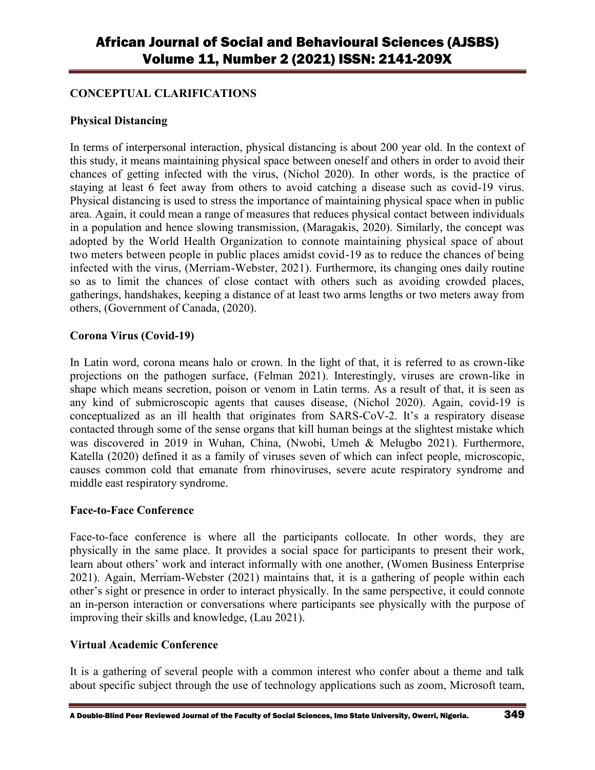### **CONCEPTUAL CLARIFICATIONS**

### **Physical Distancing**

In terms of interpersonal interaction, physical distancing is about 200 year old. In the context of this study, it means maintaining physical space between oneself and others in order to avoid their chances of getting infected with the virus, (Nichol 2020). In other words, is the practice of staying at least 6 feet away from others to avoid catching a disease such as covid-19 virus. Physical distancing is used to stress the importance of maintaining physical space when in public area. Again, it could mean a range of measures that reduces physical contact between individuals in a population and hence slowing transmission, (Maragakis, 2020). Similarly, the concept was adopted by the World Health Organization to connote maintaining physical space of about two meters between people in public places amidst covid-19 as to reduce the chances of being infected with the virus, (Merriam-Webster, 2021). Furthermore, its changing ones daily routine so as to limit the chances of close contact with others such as avoiding crowded places, gatherings, handshakes, keeping a distance of at least two arms lengths or two meters away from others, (Government of Canada, (2020).

### **Corona Virus (Covid-19)**

In Latin word, corona means halo or crown. In the light of that, it is referred to as crown-like projections on the pathogen surface, (Felman 2021). Interestingly, viruses are crown-like in shape which means secretion, poison or venom in Latin terms. As a result of that, it is seen as any kind of submicroscopic agents that causes disease, (Nichol 2020). Again, covid-19 is conceptualized as an ill health that originates from SARS-CoV-2. It's a respiratory disease contacted through some of the sense organs that kill human beings at the slightest mistake which was discovered in 2019 in Wuhan, China, (Nwobi, Umeh & Melugbo 2021). Furthermore, Katella (2020) defined it as a family of viruses seven of which can infect people, microscopic, causes common cold that emanate from rhinoviruses, severe acute respiratory syndrome and middle east respiratory syndrome.

### **Face-to-Face Conference**

Face-to-face conference is where all the participants collocate. In other words, they are physically in the same place. It provides a social space for participants to present their work, learn about others' work and interact informally with one another, (Women Business Enterprise 2021). Again, Merriam-Webster (2021) maintains that, it is a gathering of people within each other's sight or presence in order to interact physically. In the same perspective, it could connote an in-person interaction or conversations where participants see physically with the purpose of improving their skills and knowledge, (Lau 2021).

### **Virtual Academic Conference**

It is a gathering of several people with a common interest who confer about a theme and talk about specific subject through the use of technology applications such as zoom, Microsoft team,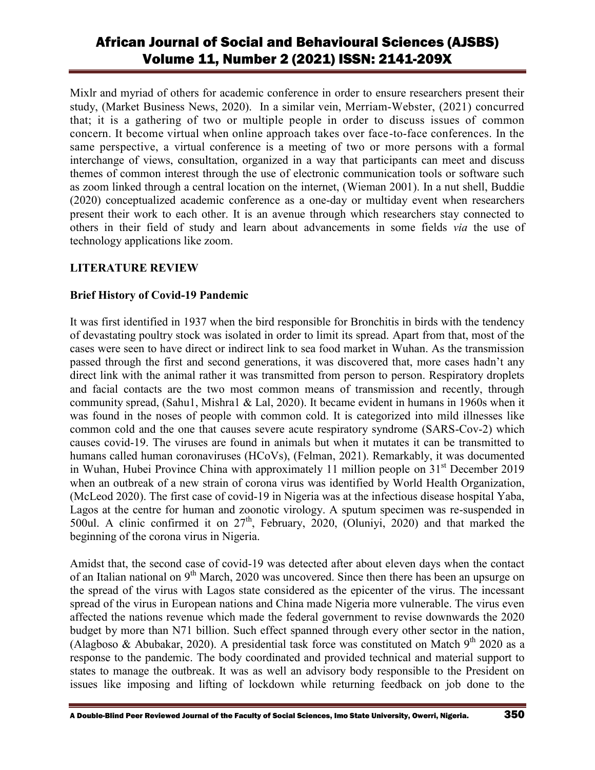Mixlr and myriad of others for academic conference in order to ensure researchers present their study, (Market Business News, 2020). In a similar vein, Merriam-Webster, (2021) concurred that; it is a gathering of two or multiple people in order to discuss issues of common concern. It become virtual when online approach takes over face-to-face conferences. In the same perspective, a virtual conference is a meeting of two or more persons with a formal interchange of views, consultation, organized in a way that participants can meet and discuss themes of common interest through the use of electronic communication tools or software such as zoom linked through a central location on the internet, (Wieman 2001). In a nut shell, Buddie (2020) conceptualized academic conference as a one-day or multiday event when researchers present their work to each other. It is an avenue through which researchers stay connected to others in their field of study and learn about advancements in some fields *via* the use of technology applications like zoom.

### **LITERATURE REVIEW**

### **Brief History of Covid-19 Pandemic**

It was first identified in 1937 when the bird responsible for Bronchitis in birds with the tendency of devastating poultry stock was isolated in order to limit its spread. Apart from that, most of the cases were seen to have direct or indirect link to sea food market in Wuhan. As the transmission passed through the first and second generations, it was discovered that, more cases hadn't any direct link with the animal rather it was transmitted from person to person. Respiratory droplets and facial contacts are the two most common means of transmission and recently, through community spread, (Sahu1, Mishra1 & Lal, 2020). It became evident in humans in 1960s when it was found in the noses of people with common cold. It is categorized into mild illnesses like common cold and the one that causes severe acute respiratory syndrome (SARS-Cov-2) which causes covid-19. The viruses are found in animals but when it mutates it can be transmitted to humans called human coronaviruses (HCoVs), (Felman, 2021). Remarkably, it was documented in Wuhan, Hubei Province China with approximately 11 million people on  $31<sup>st</sup>$  December 2019 when an outbreak of a new strain of corona virus was identified by World Health Organization, (McLeod 2020). The first case of covid-19 in Nigeria was at the infectious disease hospital Yaba, Lagos at the centre for human and zoonotic virology. A sputum specimen was re-suspended in 500ul. A clinic confirmed it on  $27<sup>th</sup>$ , February, 2020, (Oluniyi, 2020) and that marked the beginning of the corona virus in Nigeria.

Amidst that, the second case of covid-19 was detected after about eleven days when the contact of an Italian national on 9<sup>th</sup> March, 2020 was uncovered. Since then there has been an upsurge on the spread of the virus with Lagos state considered as the epicenter of the virus. The incessant spread of the virus in European nations and China made Nigeria more vulnerable. The virus even affected the nations revenue which made the federal government to revise downwards the 2020 budget by more than N71 billion. Such effect spanned through every other sector in the nation, (Alagboso & Abubakar, 2020). A presidential task force was constituted on Match 9<sup>th</sup> 2020 as a response to the pandemic. The body coordinated and provided technical and material support to states to manage the outbreak. It was as well an advisory body responsible to the President on issues like imposing and lifting of lockdown while returning feedback on job done to the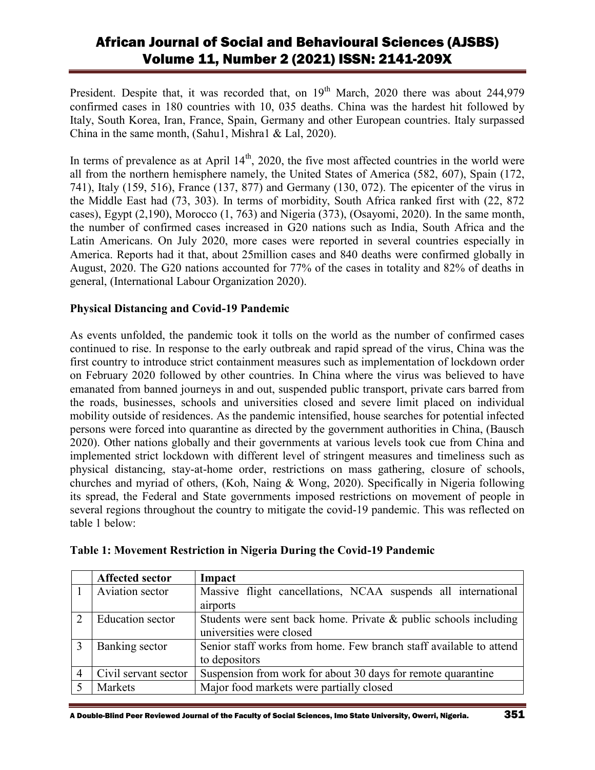President. Despite that, it was recorded that, on  $19<sup>th</sup>$  March, 2020 there was about 244,979 confirmed cases in 180 countries with 10, 035 deaths. China was the hardest hit followed by Italy, South Korea, Iran, France, Spain, Germany and other European countries. Italy surpassed China in the same month, (Sahu1, Mishra1 & Lal, 2020).

In terms of prevalence as at April  $14<sup>th</sup>$ , 2020, the five most affected countries in the world were all from the northern hemisphere namely, the United States of America (582, 607), Spain (172, 741), Italy (159, 516), France (137, 877) and Germany (130, 072). The epicenter of the virus in the Middle East had (73, 303). In terms of morbidity, South Africa ranked first with (22, 872 cases), Egypt (2,190), Morocco (1, 763) and Nigeria (373), (Osayomi, 2020). In the same month, the number of confirmed cases increased in G20 nations such as India, South Africa and the Latin Americans. On July 2020, more cases were reported in several countries especially in America. Reports had it that, about 25million cases and 840 deaths were confirmed globally in August, 2020. The G20 nations accounted for 77% of the cases in totality and 82% of deaths in general, (International Labour Organization 2020).

### **Physical Distancing and Covid-19 Pandemic**

As events unfolded, the pandemic took it tolls on the world as the number of confirmed cases continued to rise. In response to the early outbreak and rapid spread of the virus, China was the first country to introduce strict containment measures such as implementation of lockdown order on February 2020 followed by other countries. In China where the virus was believed to have emanated from banned journeys in and out, suspended public transport, private cars barred from the roads, businesses, schools and universities closed and severe limit placed on individual mobility outside of residences. As the pandemic intensified, house searches for potential infected persons were forced into quarantine as directed by the government authorities in China, (Bausch 2020). Other nations globally and their governments at various levels took cue from China and implemented strict lockdown with different level of stringent measures and timeliness such as physical distancing, stay-at-home order, restrictions on mass gathering, closure of schools, churches and myriad of others, (Koh, Naing & Wong, 2020). Specifically in Nigeria following its spread, the Federal and State governments imposed restrictions on movement of people in several regions throughout the country to mitigate the covid-19 pandemic. This was reflected on table 1 below:

|                | <b>Affected sector</b>  | Impact                                                              |  |  |
|----------------|-------------------------|---------------------------------------------------------------------|--|--|
|                | Aviation sector         | Massive flight cancellations, NCAA suspends all international       |  |  |
|                |                         | airports                                                            |  |  |
| 2              | <b>Education</b> sector | Students were sent back home. Private $\&$ public schools including |  |  |
|                |                         | universities were closed                                            |  |  |
| 3              | Banking sector          | Senior staff works from home. Few branch staff available to attend  |  |  |
|                |                         | to depositors                                                       |  |  |
| $\overline{4}$ | Civil servant sector    | Suspension from work for about 30 days for remote quarantine        |  |  |
|                | Markets                 | Major food markets were partially closed                            |  |  |

| Table 1: Movement Restriction in Nigeria During the Covid-19 Pandemic |  |  |  |  |  |
|-----------------------------------------------------------------------|--|--|--|--|--|
|-----------------------------------------------------------------------|--|--|--|--|--|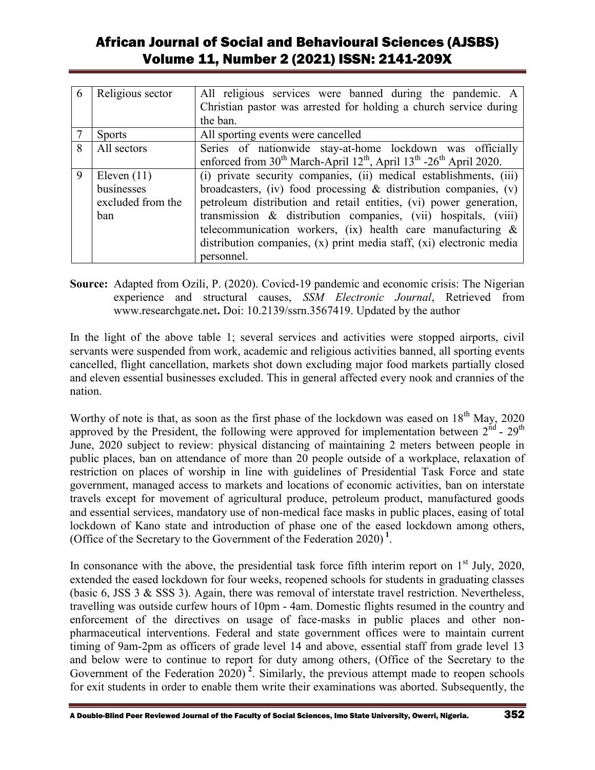| 6 | Religious sector  | All religious services were banned during the pandemic. A                                                          |  |  |
|---|-------------------|--------------------------------------------------------------------------------------------------------------------|--|--|
|   |                   | Christian pastor was arrested for holding a church service during                                                  |  |  |
|   |                   | the ban.                                                                                                           |  |  |
|   | <b>Sports</b>     | All sporting events were cancelled                                                                                 |  |  |
| 8 | All sectors       | Series of nationwide stay-at-home lockdown was officially                                                          |  |  |
|   |                   | enforced from 30 <sup>th</sup> March-April 12 <sup>th</sup> , April 13 <sup>th</sup> -26 <sup>th</sup> April 2020. |  |  |
| 9 | Eleven $(11)$     | (i) private security companies, (ii) medical establishments, (iii)                                                 |  |  |
|   | businesses        | broadcasters, (iv) food processing $\&$ distribution companies, (v)                                                |  |  |
|   | excluded from the | petroleum distribution and retail entities, (vi) power generation,                                                 |  |  |
|   | ban               | transmission & distribution companies, (vii) hospitals, (viii)                                                     |  |  |
|   |                   | telecommunication workers, (ix) health care manufacturing $\&$                                                     |  |  |
|   |                   | distribution companies, (x) print media staff, (xi) electronic media                                               |  |  |
|   |                   | personnel.                                                                                                         |  |  |

**Source:** Adapted from Ozili, P. (2020). Covicd-19 pandemic and economic crisis: The Nigerian experience and structural causes, *SSM Electronic Journal*, Retrieved from www.researchgate.net**.** Doi: 10.2139/ssrn.3567419. Updated by the author

In the light of the above table 1; several services and activities were stopped airports, civil servants were suspended from work, academic and religious activities banned, all sporting events cancelled, flight cancellation, markets shot down excluding major food markets partially closed and eleven essential businesses excluded. This in general affected every nook and crannies of the nation.

Worthy of note is that, as soon as the first phase of the lockdown was eased on  $18<sup>th</sup>$  May, 2020 approved by the President, the following were approved for implementation between  $2^{nd}$  -  $29<sup>th</sup>$ June, 2020 subject to review: physical distancing of maintaining 2 meters between people in public places, ban on attendance of more than 20 people outside of a workplace, relaxation of restriction on places of worship in line with guidelines of Presidential Task Force and state government, managed access to markets and locations of economic activities, ban on interstate travels except for movement of agricultural produce, petroleum product, manufactured goods and essential services, mandatory use of non-medical face masks in public places, easing of total lockdown of Kano state and introduction of phase one of the eased lockdown among others, (Office of the Secretary to the Government of the Federation 2020) **<sup>1</sup>** .

In consonance with the above, the presidential task force fifth interim report on  $1<sup>st</sup>$  July, 2020, extended the eased lockdown for four weeks, reopened schools for students in graduating classes (basic 6, JSS 3 & SSS 3). Again, there was removal of interstate travel restriction. Nevertheless, travelling was outside curfew hours of 10pm - 4am. Domestic flights resumed in the country and enforcement of the directives on usage of face-masks in public places and other nonpharmaceutical interventions. Federal and state government offices were to maintain current timing of 9am-2pm as officers of grade level 14 and above, essential staff from grade level 13 and below were to continue to report for duty among others, (Office of the Secretary to the Government of the Federation 2020)<sup>2</sup>. Similarly, the previous attempt made to reopen schools for exit students in order to enable them write their examinations was aborted. Subsequently, the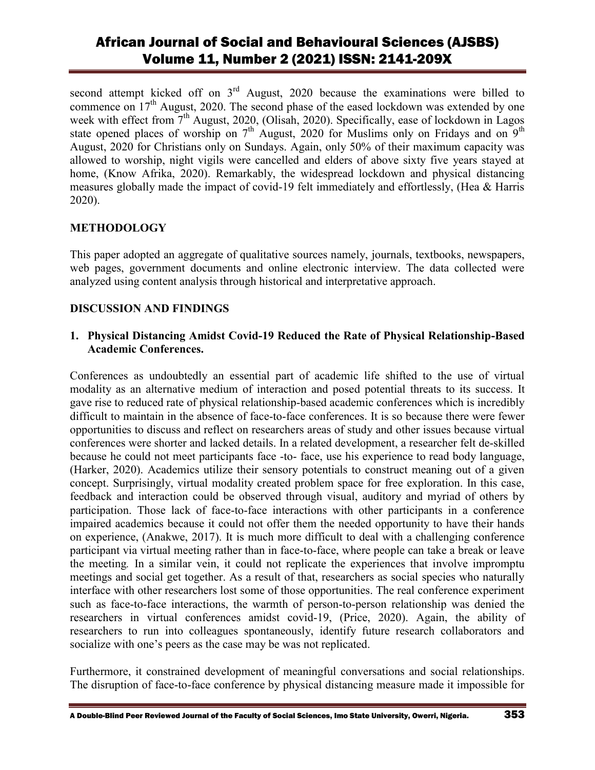second attempt kicked off on 3<sup>rd</sup> August, 2020 because the examinations were billed to commence on  $17<sup>th</sup>$  August, 2020. The second phase of the eased lockdown was extended by one week with effect from  $7<sup>th</sup>$  August, 2020, (Olisah, 2020). Specifically, ease of lockdown in Lagos state opened places of worship on  $7<sup>th</sup>$  August, 2020 for Muslims only on Fridays and on  $9<sup>th</sup>$ August, 2020 for Christians only on Sundays. Again, only 50% of their maximum capacity was allowed to worship, night vigils were cancelled and elders of above sixty five years stayed at home, (Know Afrika, 2020). Remarkably, the widespread lockdown and physical distancing measures globally made the impact of covid-19 felt immediately and effortlessly, (Hea & Harris 2020).

### **METHODOLOGY**

This paper adopted an aggregate of qualitative sources namely, journals, textbooks, newspapers, web pages, government documents and online electronic interview. The data collected were analyzed using content analysis through historical and interpretative approach.

### **DISCUSSION AND FINDINGS**

#### **1. Physical Distancing Amidst Covid-19 Reduced the Rate of Physical Relationship-Based Academic Conferences.**

Conferences as undoubtedly an essential part of academic life shifted to the use of virtual modality as an alternative medium of interaction and posed potential threats to its success. It gave rise to reduced rate of physical relationship-based academic conferences which is incredibly difficult to maintain in the absence of face-to-face conferences. It is so because there were fewer opportunities to discuss and reflect on researchers areas of study and other issues because virtual conferences were shorter and lacked details. In a related development, a researcher felt de-skilled because he could not meet participants face -to- face, use his experience to read body language, (Harker, 2020). Academics utilize their sensory potentials to construct meaning out of a given concept. Surprisingly, virtual modality created problem space for free exploration. In this case, feedback and interaction could be observed through visual, auditory and myriad of others by participation. Those lack of face-to-face interactions with other participants in a conference impaired academics because it could not offer them the needed opportunity to have their hands on experience, (Anakwe, 2017). It is much more difficult to deal with a challenging conference participant via virtual meeting rather than in face-to-face, where people can take a break or leave the meeting*.* In a similar vein, it could not replicate the experiences that involve impromptu meetings and social get together. As a result of that, researchers as social species who naturally interface with other researchers lost some of those opportunities. The real conference experiment such as face-to-face interactions, the warmth of person-to-person relationship was denied the researchers in virtual conferences amidst covid-19, (Price, 2020). Again, the ability of researchers to run into colleagues spontaneously, identify future research collaborators and socialize with one's peers as the case may be was not replicated.

Furthermore, it constrained development of meaningful conversations and social relationships. The disruption of face-to-face conference by physical distancing measure made it impossible for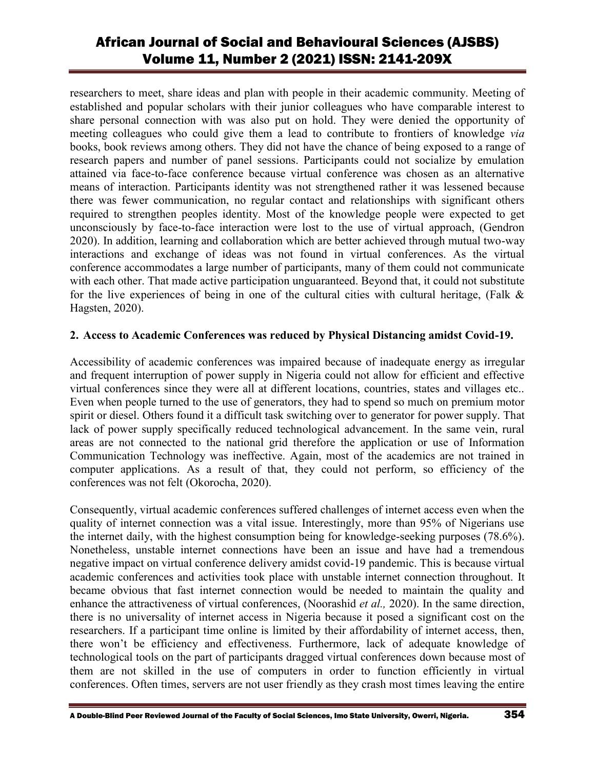researchers to meet, share ideas and plan with people in their academic community. Meeting of established and popular scholars with their junior colleagues who have comparable interest to share personal connection with was also put on hold. They were denied the opportunity of meeting colleagues who could give them a lead to contribute to frontiers of knowledge *via* books, book reviews among others. They did not have the chance of being exposed to a range of research papers and number of panel sessions. Participants could not socialize by emulation attained via face-to-face conference because virtual conference was chosen as an alternative means of interaction. Participants identity was not strengthened rather it was lessened because there was fewer communication, no regular contact and relationships with significant others required to strengthen peoples identity. Most of the knowledge people were expected to get unconsciously by face-to-face interaction were lost to the use of virtual approach, (Gendron 2020). In addition, learning and collaboration which are better achieved through mutual two-way interactions and exchange of ideas was not found in virtual conferences. As the virtual conference accommodates a large number of participants, many of them could not communicate with each other. That made active participation unguaranteed. Beyond that, it could not substitute for the live experiences of being in one of the cultural cities with cultural heritage, (Falk  $\&$ Hagsten, 2020).

### **2. Access to Academic Conferences was reduced by Physical Distancing amidst Covid-19.**

Accessibility of academic conferences was impaired because of inadequate energy as irregular and frequent interruption of power supply in Nigeria could not allow for efficient and effective virtual conferences since they were all at different locations, countries, states and villages etc.. Even when people turned to the use of generators, they had to spend so much on premium motor spirit or diesel. Others found it a difficult task switching over to generator for power supply. That lack of power supply specifically reduced technological advancement. In the same vein, rural areas are not connected to the national grid therefore the application or use of Information Communication Technology was ineffective. Again, most of the academics are not trained in computer applications. As a result of that, they could not perform, so efficiency of the conferences was not felt (Okorocha, 2020).

Consequently, virtual academic conferences suffered challenges of internet access even when the quality of internet connection was a vital issue. Interestingly, more than 95% of Nigerians use the internet daily, with the highest consumption being for knowledge-seeking purposes (78.6%). Nonetheless, unstable internet connections have been an issue and have had a tremendous negative impact on virtual conference delivery amidst covid-19 pandemic. This is because virtual academic conferences and activities took place with unstable internet connection throughout. It became obvious that fast internet connection would be needed to maintain the quality and enhance the attractiveness of virtual conferences, (Noorashid *et al.,* 2020). In the same direction, there is no universality of internet access in Nigeria because it posed a significant cost on the researchers. If a participant time online is limited by their affordability of internet access, then, there won't be efficiency and effectiveness. Furthermore, lack of adequate knowledge of technological tools on the part of participants dragged virtual conferences down because most of them are not skilled in the use of computers in order to function efficiently in virtual conferences. Often times, servers are not user friendly as they crash most times leaving the entire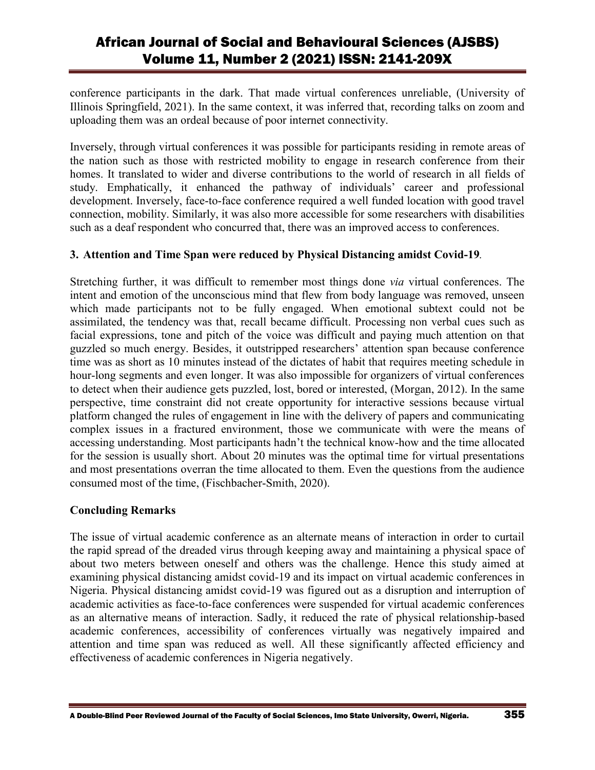conference participants in the dark. That made virtual conferences unreliable, (University of Illinois Springfield, 2021). In the same context, it was inferred that, recording talks on zoom and uploading them was an ordeal because of poor internet connectivity.

Inversely, through virtual conferences it was possible for participants residing in remote areas of the nation such as those with restricted mobility to engage in research conference from their homes. It translated to wider and diverse contributions to the world of research in all fields of study. Emphatically, it enhanced the pathway of individuals' career and professional development. Inversely, face-to-face conference required a well funded location with good travel connection, mobility. Similarly, it was also more accessible for some researchers with disabilities such as a deaf respondent who concurred that, there was an improved access to conferences.

### **3. Attention and Time Span were reduced by Physical Distancing amidst Covid-19***.*

Stretching further, it was difficult to remember most things done *via* virtual conferences. The intent and emotion of the unconscious mind that flew from body language was removed, unseen which made participants not to be fully engaged. When emotional subtext could not be assimilated, the tendency was that, recall became difficult. Processing non verbal cues such as facial expressions, tone and pitch of the voice was difficult and paying much attention on that guzzled so much energy. Besides, it outstripped researchers' attention span because conference time was as short as 10 minutes instead of the dictates of habit that requires meeting schedule in hour-long segments and even longer. It was also impossible for organizers of virtual conferences to detect when their audience gets puzzled, lost, bored or interested, (Morgan, 2012). In the same perspective, time constraint did not create opportunity for interactive sessions because virtual platform changed the rules of engagement in line with the delivery of papers and communicating complex issues in a fractured environment, those we communicate with were the means of accessing understanding. Most participants hadn't the technical know-how and the time allocated for the session is usually short. About 20 minutes was the optimal time for virtual presentations and most presentations overran the time allocated to them. Even the questions from the audience consumed most of the time, (Fischbacher-Smith, 2020).

### **Concluding Remarks**

The issue of virtual academic conference as an alternate means of interaction in order to curtail the rapid spread of the dreaded virus through keeping away and maintaining a physical space of about two meters between oneself and others was the challenge. Hence this study aimed at examining physical distancing amidst covid-19 and its impact on virtual academic conferences in Nigeria. Physical distancing amidst covid-19 was figured out as a disruption and interruption of academic activities as face-to-face conferences were suspended for virtual academic conferences as an alternative means of interaction. Sadly, it reduced the rate of physical relationship-based academic conferences, accessibility of conferences virtually was negatively impaired and attention and time span was reduced as well. All these significantly affected efficiency and effectiveness of academic conferences in Nigeria negatively.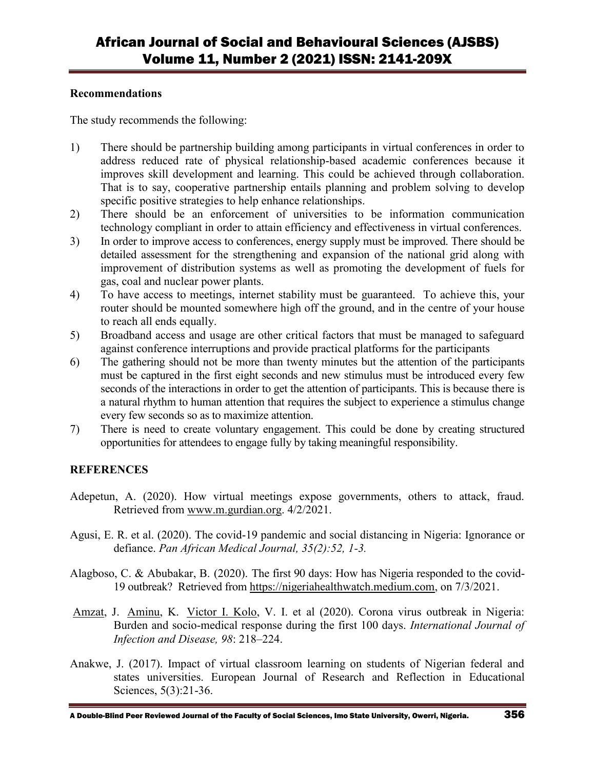#### **Recommendations**

The study recommends the following:

- 1) There should be partnership building among participants in virtual conferences in order to address reduced rate of physical relationship-based academic conferences because it improves skill development and learning. This could be achieved through collaboration. That is to say, cooperative partnership entails planning and problem solving to develop specific positive strategies to help enhance relationships.
- 2) There should be an enforcement of universities to be information communication technology compliant in order to attain efficiency and effectiveness in virtual conferences.
- 3) In order to improve access to conferences, energy supply must be improved. There should be detailed assessment for the strengthening and expansion of the national grid along with improvement of distribution systems as well as promoting the development of fuels for gas, coal and nuclear power plants.
- 4) To have access to meetings, internet stability must be guaranteed. To achieve this, your router should be mounted somewhere high off the ground, and in the centre of your house to reach all ends equally.
- 5) Broadband access and usage are other critical factors that must be managed to safeguard against conference interruptions and provide practical platforms for the participants
- 6) The gathering should not be more than twenty minutes but the attention of the participants must be captured in the first eight seconds and new stimulus must be introduced every few seconds of the interactions in order to get the attention of participants. This is because there is a natural rhythm to human attention that requires the subject to experience a stimulus change every few seconds so as to maximize attention.
- 7) There is need to create voluntary engagement. This could be done by creating structured opportunities for attendees to engage fully by taking meaningful responsibility.

### **REFERENCES**

- Adepetun, A. (2020). How virtual meetings expose governments, others to attack, fraud. Retrieved from [www.m.gurdian.org.](http://www.m.gurdian.org/) 4/2/2021.
- Agusi, E. R. et al. (2020). The covid-19 pandemic and social distancing in Nigeria: Ignorance or defiance. *Pan African Medical Journal, 35(2):52, 1-3.*
- Alagboso, C. & Abubakar, B. (2020). The first 90 days: How has Nigeria responded to the covid-19 outbreak? Retrieved from [https://nigeriahealthwatch.medium.com,](https://nigeriahealthwatch.medium.com/) on 7/3/2021.
- [Amzat,](https://www.ncbi.nlm.nih.gov/pubmed/?term=Amzat%20J%5BAuthor%5D&cauthor=true&cauthor_uid=32585282) J. [Aminu,](https://www.ncbi.nlm.nih.gov/pubmed/?term=Aminu%20K%5BAuthor%5D&cauthor=true&cauthor_uid=32585282) K. [Victor I. Kolo,](https://www.ncbi.nlm.nih.gov/pubmed/?term=Kolo%20VI%5BAuthor%5D&cauthor=true&cauthor_uid=32585282) V. I. et al (2020). Corona virus outbreak in Nigeria: Burden and socio-medical response during the first 100 days. *International Journal of Infection and Disease, 98*: 218–224.
- Anakwe, J. (2017). Impact of virtual classroom learning on students of Nigerian federal and states universities. European Journal of Research and Reflection in Educational Sciences, 5(3):21-36.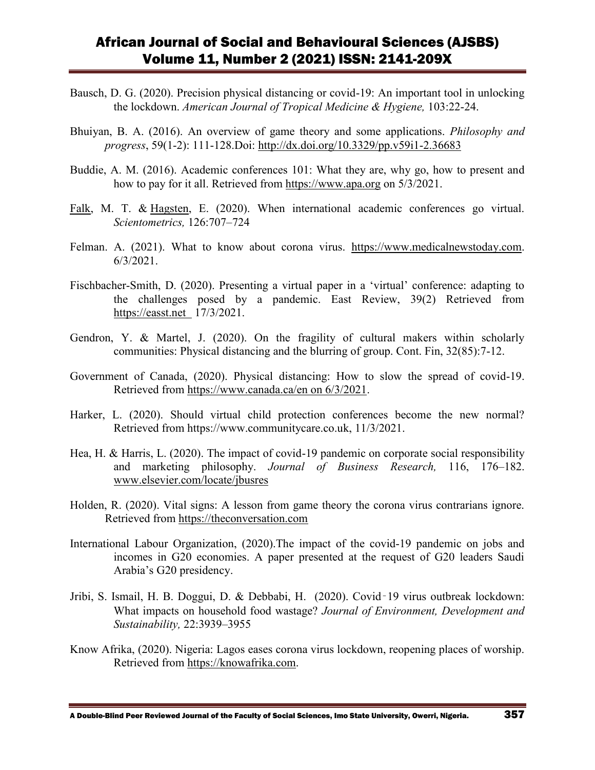- Bausch, D. G. (2020). Precision physical distancing or covid-19: An important tool in unlocking the lockdown. *American Journal of Tropical Medicine & Hygiene,* 103:22-24.
- Bhuiyan, B. A. (2016). An overview of game theory and some applications. *Philosophy and progress*, 59(1-2): 111-128.Doi:<http://dx.doi.org/10.3329/pp.v59i1-2.36683>
- Buddie, A. M. (2016). Academic conferences 101: What they are, why go, how to present and how to pay for it all. Retrieved from [https://www.apa.org](https://www.apa.org/) on 5/3/2021.
- [Falk,](https://link.springer.com/article/10.1007/s11192-020-03754-5#auth-Martin_Thomas-Falk) M. T. & [Hagsten,](https://link.springer.com/article/10.1007/s11192-020-03754-5#auth-Eva-Hagsten) E. (2020). When international academic conferences go virtual. *Scientometrics,* 126:707–724
- Felman. A. (2021). What to know about corona virus. [https://www.medicalnewstoday.com.](https://www.medicalnewstoday.com/) 6/3/2021.
- Fischbacher-Smith, D. (2020). Presenting a virtual paper in a 'virtual' conference: adapting to the challenges posed by a pandemic. East Review, 39(2) Retrieved from https://easst.net 17/3/2021.
- Gendron, Y. & Martel, J. (2020). On the fragility of cultural makers within scholarly communities: Physical distancing and the blurring of group. Cont. Fin, 32(85):7-12.
- Government of Canada, (2020). Physical distancing: How to slow the spread of covid-19. Retrieved from [https://www.canada.ca/en on 6/3/2021.](https://www.canada.ca/en%20on%206/3/2021)
- Harker, L. (2020). Should virtual child protection conferences become the new normal? Retrieved from https://www.communitycare.co.uk, 11/3/2021.
- Hea, H. & Harris, L. (2020). The impact of covid-19 pandemic on corporate social responsibility and marketing philosophy. *Journal of Business Research,* 116, 176–182. [www.elsevier.com/locate/jbusres](http://www.elsevier.com/locate/jbusres)
- Holden, R. (2020). Vital signs: A lesson from game theory the corona virus contrarians ignore. Retrieved from [https://theconversation.com](https://theconversation.com/)
- International Labour Organization, (2020).The impact of the covid-19 pandemic on jobs and incomes in G20 economies. A paper presented at the request of G20 leaders Saudi Arabia's G20 presidency.
- Jribi, S. Ismail, H. B. Doggui, D. & Debbabi, H. (2020). Covid‑19 virus outbreak lockdown: What impacts on household food wastage? *Journal of Environment, Development and Sustainability,* 22:3939–3955
- Know Afrika, (2020). Nigeria: Lagos eases corona virus lockdown, reopening places of worship. Retrieved from [https://knowafrika.com.](https://knowafrika.com/)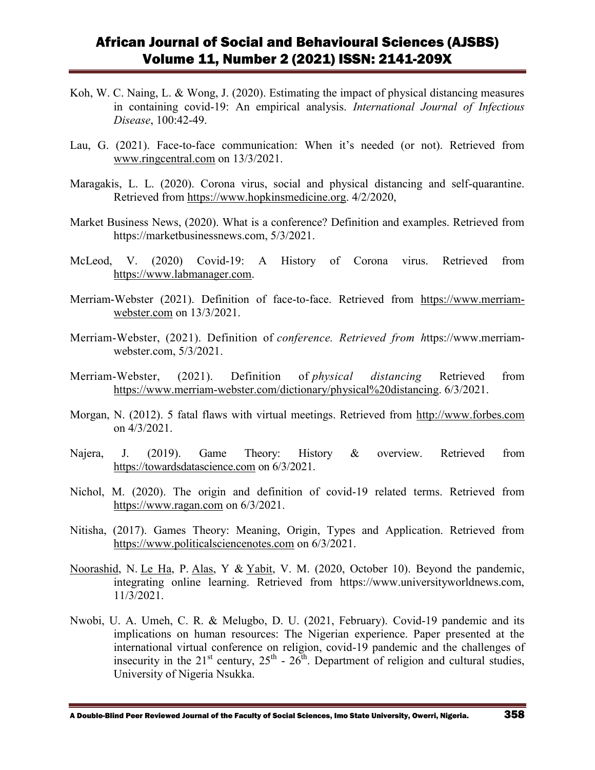- Koh, W. C. Naing, L. & Wong, J. (2020). Estimating the impact of physical distancing measures in containing covid-19: An empirical analysis. *International Journal of Infectious Disease*, 100:42-49.
- Lau, G. (2021). Face-to-face communication: When it's needed (or not). Retrieved from [www.ringcentral.com](http://www.ringcentral.com/) on 13/3/2021.
- Maragakis, L. L. (2020). Corona virus, social and physical distancing and self-quarantine. Retrieved from [https://www.hopkinsmedicine.org.](https://www.hopkinsmedicine.org/) 4/2/2020,
- Market Business News, (2020). What is a conference? Definition and examples. Retrieved from https://marketbusinessnews.com, 5/3/2021.
- McLeod, V. (2020) Covid-19: A History of Corona virus. Retrieved from [https://www.labmanager.com.](https://www.labmanager.com/)
- Merriam-Webster (2021). Definition of face-to-face. Retrieved from [https://www.merriam](https://www.merriam-webster.com/)[webster.com](https://www.merriam-webster.com/) on 13/3/2021.
- Merriam-Webster, (2021). Definition of *conference. Retrieved from h*ttps://www.merriamwebster.com, 5/3/2021.
- Merriam-Webster, (2021). Definition of *physical distancing* Retrieved from [https://www.merriam-webster.com/dictionary/physical%20distancing.](https://www.merriam-webster.com/dictionary/physical%20distancing) 6/3/2021.
- Morgan, N. (2012). 5 fatal flaws with virtual meetings. Retrieved from [http://www.forbes.com](http://www.forbes.com/) on 4/3/2021.
- Najera, J. (2019). Game Theory: History & overview. Retrieved from [https://towardsdatascience.com](https://towardsdatascience.com/) on 6/3/2021.
- Nichol, M. (2020). The origin and definition of covid-19 related terms. Retrieved from [https://www.ragan.com](https://www.ragan.com/) on 6/3/2021.
- Nitisha, (2017). Games Theory: Meaning, Origin, Types and Application. Retrieved from [https://www.politicalsciencenotes.com](https://www.politicalsciencenotes.com/) on 6/3/2021.
- [Noorashid,](https://www.universityworldnews.com/fullsearch.php?mode=search&writer=Najib+Noorashid) N. [Le Ha,](https://www.universityworldnews.com/fullsearch.php?mode=search&writer=Phan+Le+Ha) P. [Alas,](https://www.universityworldnews.com/fullsearch.php?mode=search&writer=Yabit+Alas) Y & [Yabit,](https://www.universityworldnews.com/fullsearch.php?mode=search&writer=Varissa+Mae+Yabit) V. M. (2020, October 10). Beyond the pandemic, integrating online learning. Retrieved from https://www.universityworldnews.com, 11/3/2021.
- Nwobi, U. A. Umeh, C. R. & Melugbo, D. U. (2021, February). Covid-19 pandemic and its implications on human resources: The Nigerian experience. Paper presented at the international virtual conference on religion, covid-19 pandemic and the challenges of insecurity in the 21<sup>st</sup> century,  $25<sup>th</sup>$  -  $26<sup>th</sup>$ . Department of religion and cultural studies, University of Nigeria Nsukka.